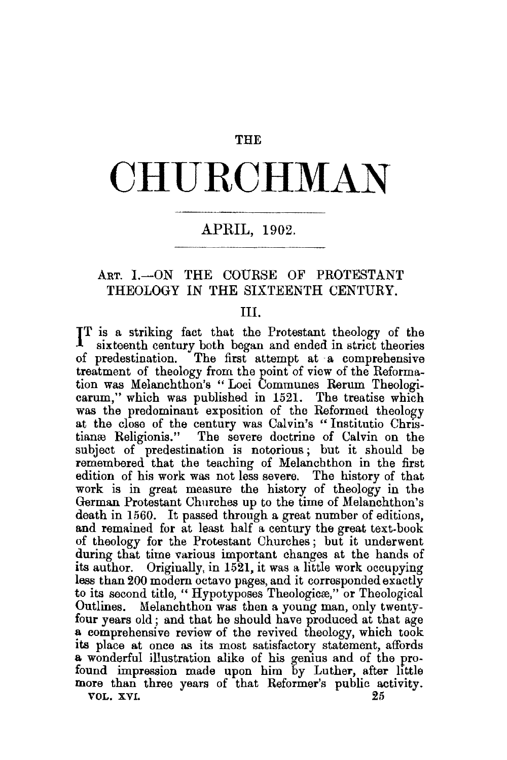#### **THE**

# **CHURCHMAN**

## APRIL, 1902.

## ART. I.-ON THE COURSE OF PROTESTANT THEOLOGY IN THE SIXTEENTH CENTURY.

#### III.

I T is a striking fact that the Protestant theology of the sixteenth century both began and ended in strict theories of predestination. The first attempt at ·a comprehensive treatment of theology from the point of view of the Reformation was Melanchthon's " Loci Communes Rerum Theologicarum,'' which was published in 1521. The treatise which was the predominant exposition of the Reformed theology at the close of the century was Calvin's "Institutio Christianæ Religionis." The severe doctrine of Calvin on the subject of predestination is notorious ; but it should be remembered that the teaching of Melanchthon in the first edition of his work was not less severe. The history of that work is in great measure the history of theology in the German Protestant Churches up to the time of Melanchthon's death in 1560. It passed through a great number of editions, and remained for at least half a century the great text-book of theology for the Protestant Churches ; but it underwent during that time various important changes at the hands of its author. Originally, in 1521, it was a little work occupying less than 200 modern octavo pages, and it corresponded exactly to its second title, "Hypotyposes Theologicae," or Theological Outlines. Melanchthon was then a young man, only twenty-Melanchthon was then a young man, only twentyfour years old; and that he should have produced at that age a comprehensive review of the revived theology, which took its place at once as its most satisfactory statement, affords a wonderful illustration alike of his genius and of the profound impression made upon him by Luther, after little more than three years of that Reformer's public activity.<br>vol. xvi. 25 VOL. XVI.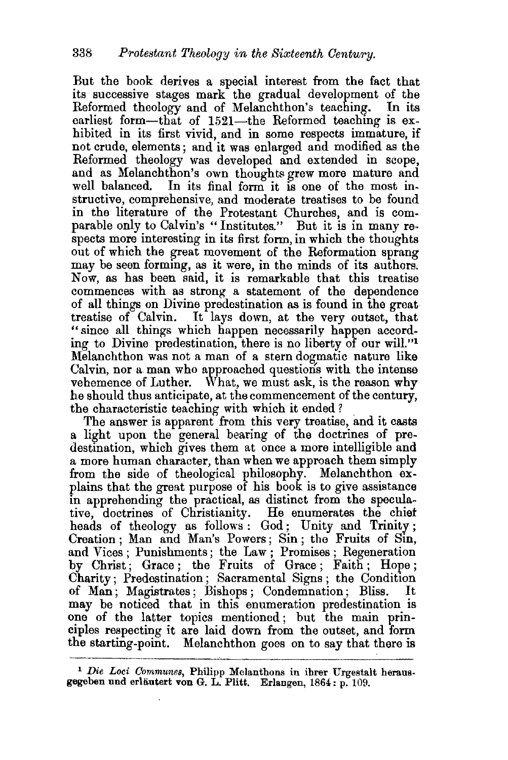But the book derives a special interest from the fact that its successive stages mark the gradual development of the Reformed theology and of Melanchthon's teaching. earliest form—that of  $1521$ —the Reformed teaching is exhibited in its first vivid, and in some respects immature, if not crude, elements; and it was enlarged and modified as the Reformed theology was developed and extended in scope, and as Melanchthon's own thoughts grew more mature and In its final form it is one of the most instructive, comprehensive, and moderate treatises to be found in the literature of the Protestant Churches, and is comparable only to Calvin's " Institutes." But it is in many respects more interesting in its first form, in which the thoughts out of which the great movement of the Reformation sprang may be seen forming, as it were, in the minds of its authors. Now, as has been said, it is remarkable that this treatise commences with as strong a statement of the dependence of all things on Divine predestination as is found in the great treatise of Calvin. It lays down, at the very outset, that "since all things which happen necessarily happen according to Divine predestination, there is no liberty of our will."<sup>1</sup> Melanchthon was not a man of a stern dogmatic nature like Calvin, nor a. man who approached questioris with the intense vehemence of Luther. What, we must ask, is the reason why he should thus anticipate, at the commencement of the century, the characteristic teaching with which it ended?

The answer is apparent from this very treatise, and it casts a light upon the general bearing of the doctrines of predestination, which gives them at once a more intelligible and a more human character, than when we approach them simply from the side of theological philosophy. Melanchthon explains that the great purpose of his book is to give assistance in apprehending the practical, as distinct from the speculative, doctrines of Christianity. He enumerates the chief heads of theology as follows: God; Unity and Trinity; Creation ; Man and Man's Powers; Sin ; the Fruits of Sin, and Vices; Punishments; the Law; Promises; Regeneration by Christ; Grace ; the Fruits of Grace ; Faith ; Hope ; Charity; Predestination; Sacramental Signs; the Condition<br>of Man: Magistrates: Bishops: Condemnation; Bliss. It of Man; Magistrates; Bishops; Condemnation; Bliss. may be noticed that in this enumeration predestination is one of the latter topics mentioned ; but the main principles respecting it are laid down from the outset, and form the starting-point. Melanchthon goes on to say that there is

<sup>&</sup>lt;sup>1</sup> Die Loci Communes, Philipp Melanthons in ihrer Urgestalt heraus. gegeben und erläutert von G. L. Plitt. Erlangen, 1864: p. 109.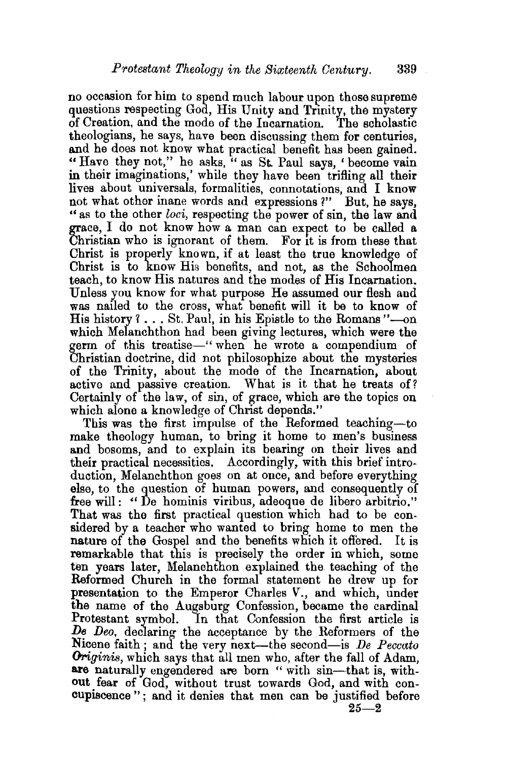no occasion for him to spend much labour upon those supreme questions respecting God, His Unity and Trinity, the mystery of Creation, and the mode of the Incarnation. The scholastic theologians, he says, have been discussing them for centuries, and he does not know what practical benefit has been gained. "Have they not," he asks, "as St. Paul says, 'become vain in their imaginations,' while they have been trifling all their lives about universals, formalities, connotations, and I know not what other inane words and expressions ?" But, he says, "as to the other *loci,* respecting the power of sin, the law and grace, I do not know how a man can expect to be called a Christian who is ignorant of them. For 1t is from these that Christ is properly known, if at least the true knowledge of Christ is to know His benefits, and not, as the Schoolmen teach, to know His natures and the modes of His Incarnation. Unless you know for what purpose He assumed our flesh and was nailed to the cross, what benefit will it be to know of His history ?... St. Paul, in his Epistle to the Romans "-on which Melanchthon had been giving lectures, which were the germ of this treatise—" when he wrote a compendium of Christian doctrine, did not philosophize about the mysteries of the Trinity, about the mode of the Incarnation, about active and passive creation. What is it that he treats of? Certainly of the law, of sin, of grace, which are the topics on which alone a knowledge of Christ depends."

This was the first impulse of the Reformed teaching-to make theology human, to bring it home to men's business and bosoms, and to explain its bearing on their lives and their practical necessities. Accordingly, with this brief intro. duction, Melanchthon goes on at once, and before everything else, to the question of human powers, and consequently of free will: " De hominis viribus, adeoque de libero arbitrio." That was the first practical question which had to be considered by a teacher who wanted to bring home to men the nature of the Gospel and the benefits which it offered. It is remarkable that this is precisely the order in which, some ten years later, Melanchthon explained the teaching of the Reformed Church in the formal statement he drew up for presentation to the Emperor Charles V., and which, under the name of the Augsburg Confession, became the cardinal Protestant symbol. In that Confession the first article is *De Deo,* declaring the acceptance by the Reformers of the Nicene faith; and the very next—the second—is *De Peccato* Originis, which says that all men who, after the fall of Adam, are naturally engendered are born "with sin-that is, without fear of God, without trust towards God, and with concupiscence"; and it denies that men can be justified before  $25 - 2$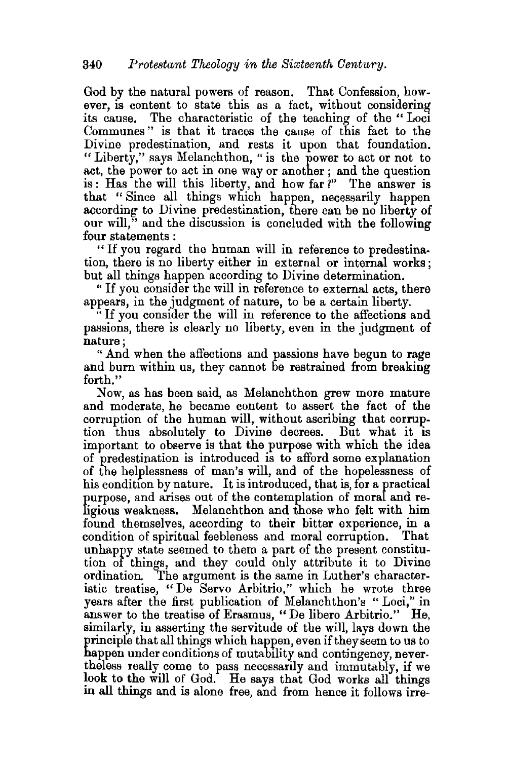God by the natural powers of reason. That Confession, however, is content to state this as a fact, without considering its cause. The characteristic of the teaching of the "Loci Communes " is that it traces the cause of this fact to the Divine predestination, and rests it upon that foundation. "Liberty," says Melanchthon, "is the power to act or not to act, the power to act in one way or another ; and the question is: Has the will this liberty, and how far?" The answer is that " Since all things which happen, necessarily happen according to Divine predestination, there can be no liberty of our will," and the discussion is concluded with the following four statements :

" If you regard the human will in reference to predestination, there is no liberty either in external or internal works; but all things happen according to Divine determination.

" If you consider the will in reference to external acts, there appears, in the judgment of nature, to be a certain liberty.

"If you consider the will in reference to the affections and passions, there is clearly no liberty, even in the judgment of nature;

" And when the affections and passions have begun to rage and burn within us, they cannot be restrained from breaking forth."

Now, as has been said, as Melanchthon grew more mature and moderate, he became content to assert the fact of the corruption of the human will, without ascribing that corruption thus absolutely to Divine decrees. But what it is important to observe is that the purpose with which the idea of predestination is introduced is to afford some explanation of the helplessness of man's will, and of the hopelessness of his condition by nature. It is introduced, that is, for a practical purpose, and arises out of the contemplation of moral and religious weakness. Melanchthon and those who felt with him found themselves, according to their bitter experience, in a condition of spiritual feebleness and moral corruption. That unhappy state seemed to them a part of the present constitution of things, and they could only attribute it to Divine ordination. The argument is the same in Luther's characteristic treatise, "De Servo Arbitrio," which he wrote three years after the first publication of Melanchthon's " Loci," in answer to the treatise of Erasmus, "De libero Arbitrio." He, similarly, in asserting the servitude of the will, lays down the principle that all things which happen, even if they seem to us to happen under conditions of mutability and contingency, nevertheless really come to pass necessarily and immutably, if we look to the will of God. He says that God works all things m all things and is alone free, and from hence it follows irre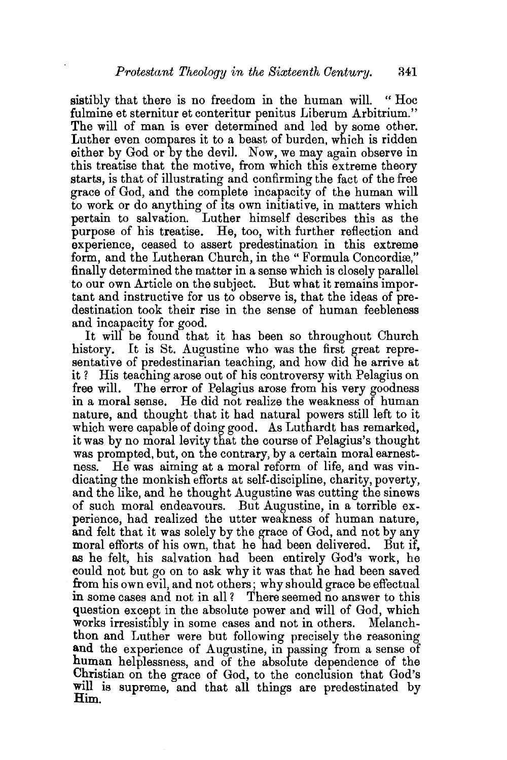sistibly that there is no freedom in the human will. " Hoc fulmine et sternitur et conteritur penitus Liberum Arbitrium." The will of man is ever determined and led by some other. Luther even compares it to a beast of burden, which is ridden either by God or by the devil. Now, we may again observe in this treatise that the motive, from which this extreme theory starts, is that of illustrating and confirming the fact of the free grace of God, and the complete incapacity of the human will to work or do anything of its own initiative, in matters which pertain to salvation. Luther himself describes this as the purpose of his treatise. He, too, with further reflection and experience, ceased to assert predestination in this extreme form, and the Lutheran Church, in the "Formula Concordiæ," finally determined the matter in a sense which is closely parallel to our own Article on the subject. But what it remains important and instructive for us to observe is, that the ideas of predestination took their rise in the sense of human feebleness and incapacity for good.

It will be found that it has been so throughout Church history. It is St. Augustine who was the first great representative of predestinarian teaching, and how did he arrive at it ? His teaching arose out of his controversy with Pelagius on free will. The error of Pelagius arose from his very goodness in a moral sense. He did not realize the weakness of human nature, and thought that it had natural powers still left to it which were capable of doing good. As Luthardt has remarked, it was by no moral levity that the course of Pelagius's thought was prompted, but, on the contrary, by a certain moral earnestness. He was aiming at a moral reform of life, and was vindicating the monkish efforts at self-discipline, charity, poverty, and the like, and he thought Augustine was cutting the sinews of such moral endeavours. But Augustine, in a terrible experience, had realized the utter weakness of human nature, and felt that it was solely by the grace of God, and not by any moral efforts of his own, that he had been delivered. But if, as he felt, his salvation had been entirely God's work, he could not but go on to ask why it was that he had been saved from his own evil, and not others; why should grace be effectual in some cases and not in all? There seemed no answer to this question except in the absolute power and will of God, which works irresistibly in some cases and not in others. Melanchthon and Luther were but following precisely the reasoning **and** the experience of Augustine, in passing from a sense of human helplessness, and of the absolute dependence of the Christian on the grace of God, to the conclusion that God's will is supreme, and that all things are predestinated by  $\text{Him}$ .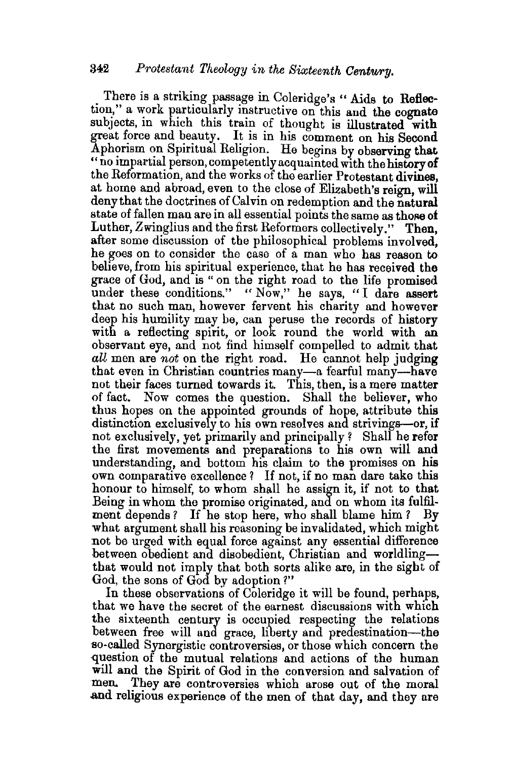There is a striking passage in Coleridge's " Aids to Reflection." a work particularly instructive on this and the cognate subjects, in which this train of thought is illustrated with great force and beauty. It is in his comment on his Second Aphorism on Spiritual Religion. He begins by observing that " no impartial person, competently acquainted with the history of the Reformation, and the works of the earlier Protestant divines, at home and abroad, even to the close of Elizabeth's reign, will deny that the doctrines of Calvin on redemption and the natural state of fallen man are in all essential points the same as those of Luther, Zwinglius and the first Reformers collectively." Then, after some discussion of the philosophical problems involved, he goes on to consider the case of a man who has reason to believe, from his spiritual experience, that he has received the grace of God, and is " on the right road to the life promised under these conditions." "Now," he says, "I dare assert that no such man, however fervent his charity and however deep his humility may be, can peruse the records of history with a reflecting spirit, or look round the world with an observant eye, and not find himself compelled to admit that *all* men are *not* on the right road. He cannot help judging that even in Christian countries many-a fearful many-have not their faces turned towards it. This, then, is a mere matter of fact. Now comes the question. Shall the believer, who thus hopes on the appointed grounds of hope, attribute this distinction exclusively to his own resolves and strivings-or, if not exclusively, yet primarily and principally? Shall he refer the first movements and preparations to his own will and understanding, and bottom his claim to the promises on his own comparative excellence? If not, if no man dare take this honour to himself, to whom shall he assign it, if not to that Being in whom the promise originated, and on whom its fulfilment depends ? If he stop here, who shall blame him *?* By what argument shall his reasoning be invalidated, which might not be urged with equal force against any essential difference between obedient and disobedient, Christian and worldlingthat would not imply that both sorts alike are, in the sight of God, the sons of God by adoption ?"

In these observations of Coleridge it will be found, perhaps, that we have the secret of the earnest discussions with which the sixteenth century is occupied respecting the relations between free will and grace, liberty and predestination-the so-called Synergistic controversies, or those which concern the question of the mutual relations and actions of the human will and the Spirit of God in the conversion and salvation of men. They are controversies which arose out of the moral and religious experience of the men of that day, and they are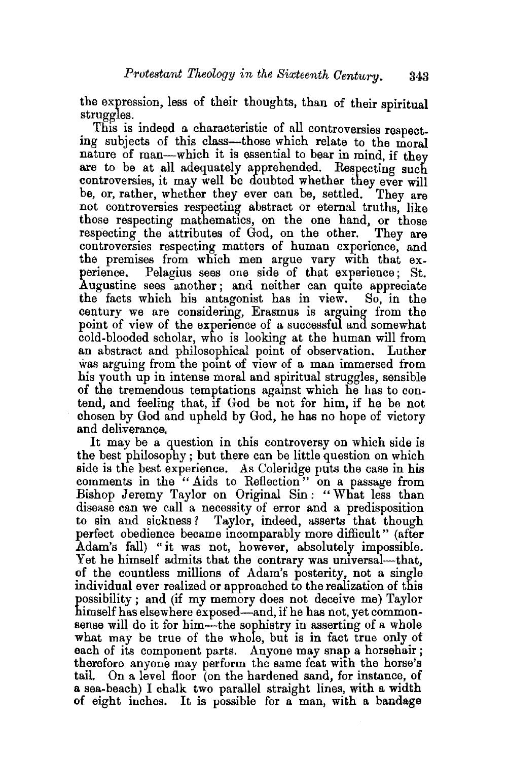the expression, less of their thoughts, than of their spiritual struggles.

This is indeed a characteristic of all controversies respecting subjects of this class-those which relate to the moral nature of man-which it is essential to bear in mind, if they are to be at all adequately apprehended. Respecting such controversies, it may well be doubted whether they ever will be, or, rather, whether they ever can be, settled. They are not controversies respecting abstract or eternal truths, like those respecting mathematics, on the one hand, or those respecting the attributes of God, on the other. They are controversies respecting matters of human experience, and the premises from which men argue vary with that experience. Pelagius sees one side of that experience; St. Augustine sees another; and neither can quite appreciate the facts which his antagonist has in view. So, in the century we are considering, Erasmus is arguing from the point of view of the experience of a successful and somewhat cold-blooded scholar, who is looking at the human will from an abstract and philosophical point of observation. Luther was arguing from the point of view of a man immersed from his youth up in intense moral and spiritual struggles, sensible of the tremendous temptations agamst which he has to contend, and feeling that, 1f God be not for him, if he be not chosen by God and upheld by God, he has no hope of victory and deliverance.

It may be a question in this controversy on which side is the best philosophy; but there can be little question on which side is the best experience. As Coleridge puts the case in his comments in the "Aids to Reflection" on a passage from Bishop Jeremy Taylor on Original Sin: "What less than disease can we call a necessity of error and a predisposition to sin and sickness ? Taylor, indeed, asserts that though perfect obedience became incomparably more difficult" (after Adam's fall) "it was not, however, absolutely impossible. Yet he himself admits that the contrary was universal—that, of the countless millions of Adam's posterity, not a single individual ever realized or approached to the realization of this possibility; and (if my memory does not deceive me) Taylor himself has elsewhere exposed—and, if he has not, yet commonsense will do it for him-the sophistry in asserting of a whole what may be true of the whole, but is in fact true only of each of its component parts. Anyone may snap a horsehair; therefore anyone may perform the same feat with the horse's tail. On a level floor (on the hardened sand, for instance, of a sea-beach) I chalk two parallel straight lines, with a width of eight inches. It is possible for a man, with a bandage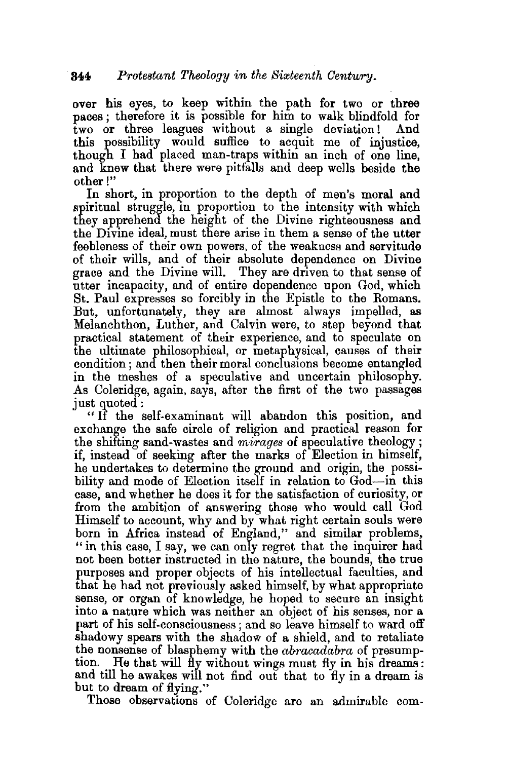over his eyes, to keep within the path for two or three paces; therefore it is possible for him to walk blindfold for two or three leagues without a single deviation! And  $t_{\text{wo}}$  or three leagues without a single deviation! this possibility would suffice to acquit me of injustice, though I had placed man-traps within an inch of one line, and knew that there were pitfalls and deep wells beside the other!"

In short, in proportion to the depth of men's moral and spiritual struggle, in proportion to the intensity with which they apprehend the height of the Divine righteousness and the Divine ideal, must there arise in them a sense of the utter feebleness of their own powers, of the weakness and servitude of their wills, and of their absolute dependence on Divine grace and the Divine will. They are driven to that sense of utter incapacity, and of entire dependence upon God, which St. Paul expresses so forcibly in the Epistle to the Romans. But, unfortunately, they are almost always impelled, as Melanchthon, Luther, and Calvin were, to step beyond that practical statement of their experience, and to speculate on the ultimate philosophical, or metaphysical, causes of their condition ; and then their moral conclusions become entangled in the meshes of a speculative and uncertain philosophy. As Coleridge, again, says, after the first of the two passages just quoted :

" If the self-examinant will abandon this position, and exchange the safe circle of religion and practical reason for the shifting sand-wastes and *mirages* of speculative theology; if, instead of seeking after the marks of Election in himself, he undertakes to determine the ground and origin, the possibility and mode of Election itself in relation to God-in this case, and whether he does it for the satisfaction of curiosity, or from the ambition of answering those who would call God Himself to account, why and by what right certain souls were born in Africa instead of England," and similar problems, "in this case, I say, we can only regret that the inquirer had not been better instructed in the nature, the bounds, the true purposes and proper objects of his intellectual faculties, and that he had not previously asked himself, by what appropriate sense, or organ of knowledge, he hoped to secure an insight into a nature which was neither an object of his senses, nor a part of his self-consciousness; and so leave himself to ward off shadowy spears with the shadow of a shield, and to retaliate the nonsense of blasphemy with the *abracadabra* of presumption. He that will fly without wings must fly in his dreams: and till he awakes will not find out that to fly in a dream is but to dream of flying."

Those observations of Coleridge are an admirable com-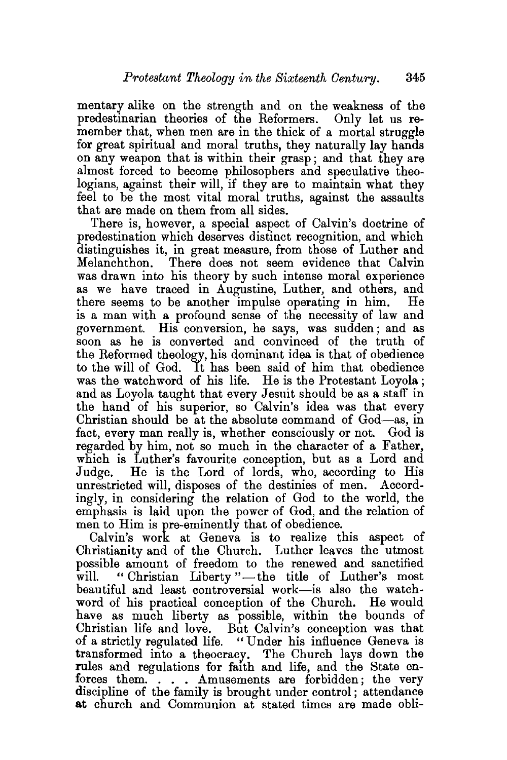mentary alike on the strength and on the weakness of the predestinarian theories of the Reformers. Only let us remember that, when men are in the thick of a mortal struggle for great spiritual and moral truths, they naturally lay hands on any weapon that is within their grasp; and that they are almost forced to become philosophers and speculative theologians, against their will, if they are to maintain what they feel to be the most vital moral truths, against the assaults that are made on them from all sides.

There is, however, a special aspect of Calvin's doctrine of predestination which deserves distinct recognition, and which distinguishes it, in great measure, from those of Luther and Melanchthon. There does not seem evidence that Calvin was drawn into his theory by such intense moral experience as we have traced in Augustine, Luther, and others, and there seems to be another impulse operating in him. He is a man with a profound sense of the necessity of law and government. His conversion, he says, was sudden; and as soon as he is converted and convinced of the truth of the Reformed theology, his dominant idea is that of obedience to the will of God. It has been said of him that obedience was the watchword of his life. He is the Protestant Loyola ; and as Loyola taught that every Jesuit should be as a staff in the hand of his superior, so Calvin's idea was that every Christian should be at the absolute command of God-as, in fact, every man really is, whether consciously or not. God is regarded by him, not so much in the character of a Father, which is Luther's favourite conception, but as a Lord and Judge. He is the Lord of lords, who, according to His unrestricted will, disposes of the destinies of men. Accordingly, in considering the relation of God to the world, the emphasis is laid upon the power of God, and the relation of men to Him is pre-eminently that of obedience.

Calvin's work at Geneva is to realize this aspect of Christianity and of the Church. Luther leaves the utmost possible amount of freedom to the renewed and sanctified will. "Christian Liberty"—the title of Luther's most beautiful and least controversial work-is also the watchword of his practical conception of the Church. He would have as much liberty as possible, within the bounds of Christian life and love. But Calvin's conception was that of a strictly regulated life. "Under his influence Geneva is transformed into a theocracy. The Church lays down the rules and regulations for faith and life, and the State enforces them. . . . Amusements are forbidden; the very discipline of the family is brought under control; attendance at church and Communion at stated times are made obli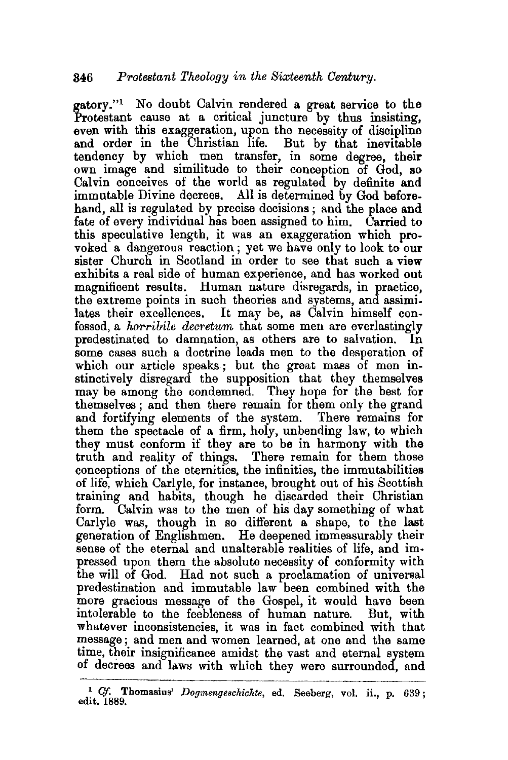gatory."1 No doubt Calvin rendered a great service to the Protestant cause at a critical juncture by thus insisting, even with this exaggeration, upon the necessity of discipline and order in the Christian life. But by that inevitable tendency by which men transfer, in some degree, their own image and similitude to their conception of God, so Calvin conceives of the world as regulated by definite and immutable Divine decrees. All is determined by God beforehand, all is regulated by precise decisions ; and the place and fate of every individual has been assigned to him. Carried to this speculative length, it was an exaggeration which provoked a dangerous reaction ; yet we have only to look to our sister Church in Scotland in order to see that such a view exhibits a real side of human experience, and has worked out magnificent results. Human nature disregards, in practice, the extreme points in such theories and systems, and assimilates their excellences. It may be, as Calvin himself confessed, a *horribile decretum* that some men are everlastingly predestinated to damnation, as others are to salvation. In some cases such a doctrine leads men to the desperation of which our article speaks; but the great mass of men instinctively disregard the supposition that they themselves may be among the condemned. They hope for the best for themselves ; and then there remain for them only the grand and fortifying elements of the system. There remains for them the spectacle of a firm, holy, unbending law, to which they must conform if they are to be in harmony with the truth and reality of things. There remain for them those conceptions of the eternities, the infinities, the immutabilities of life, which Carlyle, for instance, brought out of his Scottish training and habits, though he discarded their Christian form. Calvin was to the men of his day something of what Carlyle was, though in so different a shape, to the last generation of Englishmen. He deepened immeasurably their sense of the eternal and unalterable realities of life, and impressed upon them the absolute necessity of conformity with the will of God. Had not such a proclamation of universal predestination and immutable law been combined with the more gracious message of the Gospel, it would have been intolerable to the feebleness of human nature. But, with whatever inconsistencies, it was in fact combined with that message ; and men and women learned, at one and the same time, their insignificance amidst the vast and eternal system of decrees and laws with which they were surrounded, and

<sup>&</sup>lt;sup>1</sup> Cf. Thomasius' *Dogmengeschichte*, ed. Seeberg, vol. ii., p. 639; edit. 1889.